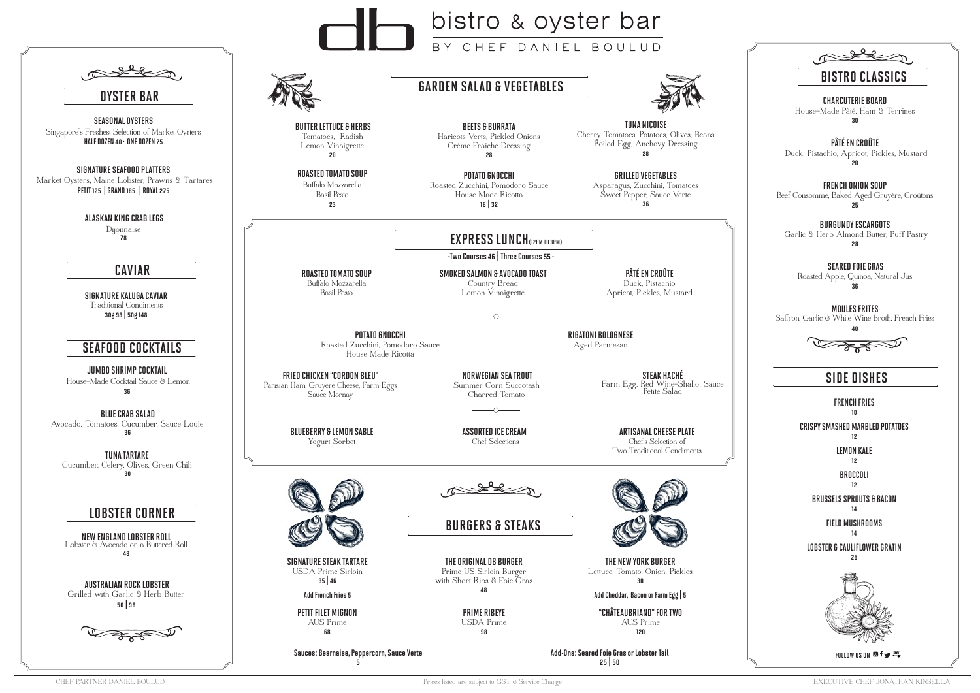## GARDEN SALAD & VEGETABLES

## SIDE DISHES



ROASTED TOMATO SOUP Buffalo Mozzarella Basil Pesto

SMOKED SALMON & AVOCADO TOAST Country Bread Lemon Vinaigrette

PÂTÉ EN CROÛTE Duck, Pistachio Apricot, Pickles, Mustard

# EXPRESS LUNCH(12PM TO 3PM)

-Two Courses 46 | Three Courses 55 -

POTATO GNOCCHI

Roasted Zucchini, Pomodoro Sauce House Made Ricotta

RIGATONI BOLOGNESE Aged Parmesan

BLUEBERRY & LEMON SABLE Yogurt Sorbet

ASSORTED ICE CREAM Chef Selections

ARTISANAL CHEESE PLATE Chef's Selection of Two Traditional Condiments



BURGERS & STEAKS

SIGNATURE STEAK TARTARE USDA Prime Sirloin 35 | 46

Add French Fries 5

THE ORIGINAL DB BURGER Prime US Sirloin Burger with Short Ribs & Foie Gras 48

THE NEW YORK BURGER

| OYSTER BAR                                                                                                                 |  |
|----------------------------------------------------------------------------------------------------------------------------|--|
| <b>SEASONAL OYSTERS</b><br>Singapore's Freshest Selection of Market Oysters<br>HALF DOZEN 40 · ONE DOZEN 75                |  |
| <b>SIGNATURE SEAFOOD PLATTERS</b><br>Market Oysters, Maine Lobster, Prawns & Tartares<br>PETIT 125   GRAND 185   ROYAL 275 |  |
| ALASKAN KING CRAB LEGS<br>Dijonnaise<br>78                                                                                 |  |
| <b>CAVIAR</b>                                                                                                              |  |
| SIGNATURE KALUGA CAVIAR<br><b>Traditional Condiments</b><br>30g 98   50g 148                                               |  |
| <b>SEAFOOD COCKTAILS</b>                                                                                                   |  |
| <b>JUMBO SHRIMP COCKTAIL</b><br>House-Made Cocktail Sauce & Lemon<br>36                                                    |  |
| <b>BLUE CRAB SALAD</b><br>Avocado, Tomatoes, Cucumber, Sauce Louie<br>36                                                   |  |
| TUNA TARTARE<br>Cucumber, Celery, Olives, Green Chili<br>30                                                                |  |
| <b>LOBSTER CORNER</b>                                                                                                      |  |
| NEW ENGLAND LOBSTER ROLL<br>Lobster & Avocado on a Buttered Roll<br>48                                                     |  |
| AUSTRALIAN ROCK LOBSTER<br>Grilled with Garlic & Herb Butter<br>50   98                                                    |  |
| <del>sa se</del>                                                                                                           |  |
|                                                                                                                            |  |
| CHEF PARTNER DANIEL BOULUD                                                                                                 |  |

# bistro & oyster bar EF DANIEL BOULUD

Lettuce, Tomato, Onion, Pickles



30

Add Cheddar, Bacon or Farm Egg | 5

PETIT FILET MIGNON AUS Prime 68

PRIME RIBEYE USDA Prime 98

"CHÂTEAUBRIAND" FOR TWO AUS Prime 120

Sauces: Bearnaise, Peppercorn, Sauce Verte

5

Add-Ons: Seared Foie Gras or Lobster Tail 25 | 50

 BUTTER LETTUCE & HERBS Tomatoes, Radish Lemon Vinaigrette 20

BEETS & BURRATA Haricots Verts, Pickled Onions Crème Fraîche Dressing 28

TUNA NIÇOISE Cherry Tomatoes, Potatoes, Olives, Beans Boiled Egg, Anchovy Dressing 28

### CHARCUTERIE BOARD

House-Made Pâté, Ham & Terrines 30

## PÂTÉ EN CROÛTE

 Duck, Pistachio, Apricot, Pickles, Mustard 20

FRENCH ONION SOUP Beef Consomme, Baked Aged Gruyère, Croûtons 25

### BURGUNDY ESCARGOTS

 Garlic & Herb Almond Butter, Puff Pastry 28

SEARED FOIE GRAS

Roasted Apple, Quinoa, Natural Jus 36

MOULES FRITES Saffron, Garlic & White Wine Broth, French Fries

40



FRIED CHICKEN "CORDON BLEU" Parisian Ham, Gruyère Cheese, Farm Eggs Sauce Mornay

 NORWEGIAN SEA TROUT Summer Corn Succotash Charred Tomato

STEAK HACHÉ Farm Egg, Red Wine-Shallot Sauce Petite Salad

FRENCH FRIES

10

CRISPY SMASHED MARBLED POTATOES

12

LEMON KALE 12

BROCCOLI 12

BRUSSELS SPROUTS & BACON

### 14

FIELD MUSHROOMS 14

LOBSTER & CAULIFLOWER GRATIN

25



FOLLOW US ON **Of** 

ROASTED TOMATO SOUP Buffalo Mozzarella Basil Pesto 23

POTATO GNOCCHI Roasted Zucchini, Pomodoro Sauce House Made Ricotta 18 | 32

GRILLED VEGETABLES Asparagus, Zucchini, Tomatoes Sweet Pepper, Sauce Verte 36